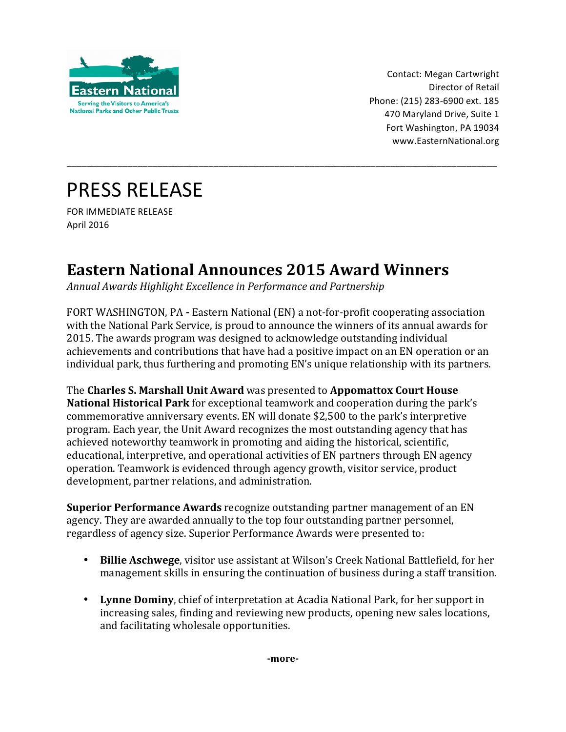

Contact: Megan Cartwright Director of Retail Phone: (215) 283-6900 ext. 185 470 Maryland Drive, Suite 1 Fort Washington, PA 19034 www.EasternNational.org 

## **PRESS RELEASE**

FOR IMMEDIATE RELEASE April 2016

## **Eastern National Announces 2015 Award Winners**

Annual Awards Highlight Excellence in Performance and Partnership

FORT WASHINGTON, PA - Eastern National (EN) a not-for-profit cooperating association with the National Park Service, is proud to announce the winners of its annual awards for 2015. The awards program was designed to acknowledge outstanding individual achievements and contributions that have had a positive impact on an EN operation or an individual park, thus furthering and promoting EN's unique relationship with its partners.

\_\_\_\_\_\_\_\_\_\_\_\_\_\_\_\_\_\_\_\_\_\_\_\_\_\_\_\_\_\_\_\_\_\_\_\_\_\_\_\_\_\_\_\_\_\_\_\_\_\_\_\_\_\_\_\_\_\_\_\_\_\_\_\_\_\_\_\_\_\_\_\_\_\_\_\_\_\_\_\_\_\_\_\_\_

**The Charles S. Marshall Unit Award** was presented to **Appomattox Court House National Historical Park** for exceptional teamwork and cooperation during the park's commemorative anniversary events. EN will donate \$2,500 to the park's interpretive program. Each year, the Unit Award recognizes the most outstanding agency that has achieved noteworthy teamwork in promoting and aiding the historical, scientific, educational, interpretive, and operational activities of EN partners through EN agency operation. Teamwork is evidenced through agency growth, visitor service, product development, partner relations, and administration.

**Superior Performance Awards** recognize outstanding partner management of an EN agency. They are awarded annually to the top four outstanding partner personnel, regardless of agency size. Superior Performance Awards were presented to:

- **Billie Aschwege**, visitor use assistant at Wilson's Creek National Battlefield, for her management skills in ensuring the continuation of business during a staff transition.
- Lynne Dominy, chief of interpretation at Acadia National Park, for her support in increasing sales, finding and reviewing new products, opening new sales locations, and facilitating wholesale opportunities.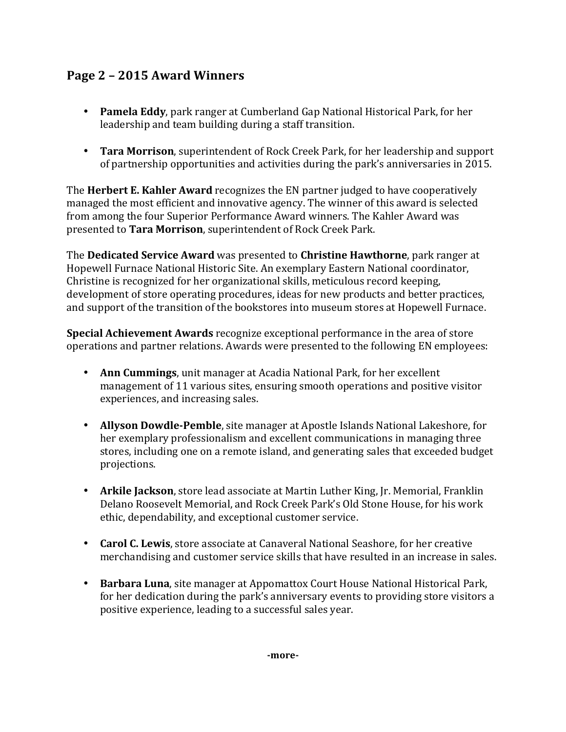## **Page 2 – 2015 Award Winners**

- **Pamela Eddy**, park ranger at Cumberland Gap National Historical Park, for her leadership and team building during a staff transition.
- **Tara Morrison**, superintendent of Rock Creek Park, for her leadership and support of partnership opportunities and activities during the park's anniversaries in 2015.

The **Herbert E. Kahler Award** recognizes the EN partner judged to have cooperatively managed the most efficient and innovative agency. The winner of this award is selected from among the four Superior Performance Award winners. The Kahler Award was presented to Tara Morrison, superintendent of Rock Creek Park.

The **Dedicated Service Award** was presented to **Christine Hawthorne**, park ranger at Hopewell Furnace National Historic Site. An exemplary Eastern National coordinator, Christine is recognized for her organizational skills, meticulous record keeping, development of store operating procedures, ideas for new products and better practices, and support of the transition of the bookstores into museum stores at Hopewell Furnace.

**Special Achievement Awards** recognize exceptional performance in the area of store operations and partner relations. Awards were presented to the following EN employees:

- **Ann Cummings**, unit manager at Acadia National Park, for her excellent management of 11 various sites, ensuring smooth operations and positive visitor experiences, and increasing sales.
- Allyson Dowdle-Pemble, site manager at Apostle Islands National Lakeshore, for her exemplary professionalism and excellent communications in managing three stores, including one on a remote island, and generating sales that exceeded budget projections.
- **Arkile Jackson**, store lead associate at Martin Luther King, Jr. Memorial, Franklin Delano Roosevelt Memorial, and Rock Creek Park's Old Stone House, for his work ethic, dependability, and exceptional customer service.
- **Carol C. Lewis**, store associate at Canaveral National Seashore, for her creative merchandising and customer service skills that have resulted in an increase in sales.
- Barbara Luna, site manager at Appomattox Court House National Historical Park, for her dedication during the park's anniversary events to providing store visitors a positive experience, leading to a successful sales year.